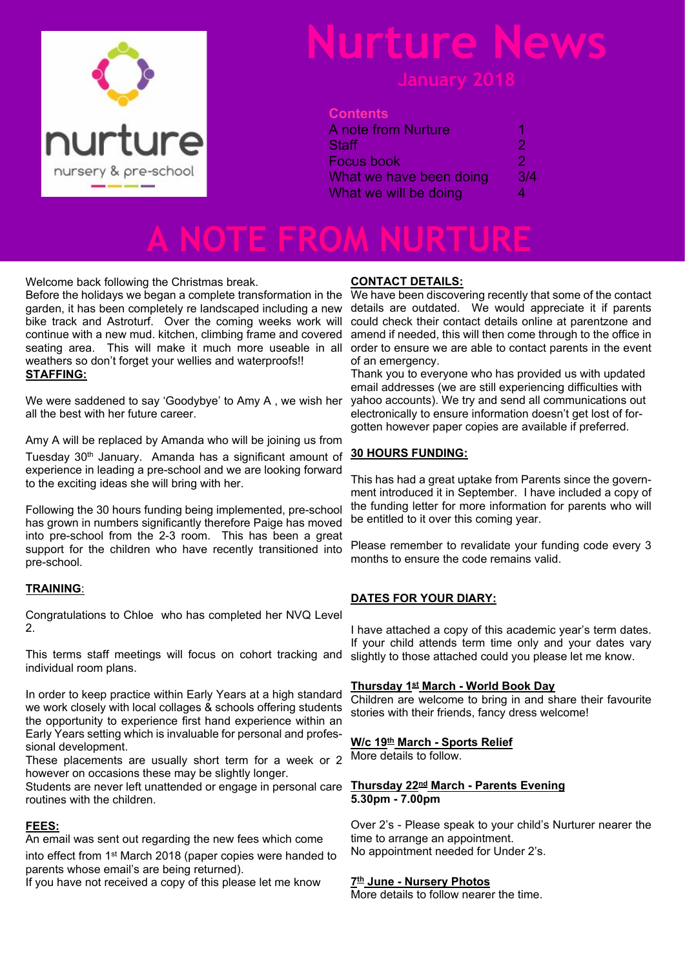

#### **Contents**

| <b>A note from Nurture</b> |     |
|----------------------------|-----|
| <b>Staff</b>               | 2   |
| Focus book                 | 2   |
| What we have been doing    | 3/4 |
| What we will be doing      | Λ   |

## **A NOTE FROM NURTURE**

Welcome back following the Christmas break.

Before the holidays we began a complete transformation in the garden, it has been completely re landscaped including a new details are outdated. We would appreciate it if parents bike track and Astroturf. Over the coming weeks work will could check their contact details online at parentzone and continue with a new mud. kitchen, climbing frame and covered seating area. This will make it much more useable in all order to ensure we are able to contact parents in the event weathers so don't forget your wellies and waterproofs!! **STAFFING:**

We were saddened to say 'Goodybye' to Amy A , we wish her all the best with her future career.

Amy A will be replaced by Amanda who will be joining us from

Tuesday 30<sup>th</sup> January. Amanda has a significant amount of experience in leading a pre-school and we are looking forward to the exciting ideas she will bring with her.

Following the 30 hours funding being implemented, pre-school has grown in numbers significantly therefore Paige has moved into pre-school from the 2-3 room. This has been a great support for the children who have recently transitioned into pre-school.

#### **TRAINING**:

Congratulations to Chloe who has completed her NVQ Level 2.

This terms staff meetings will focus on cohort tracking and individual room plans.

In order to keep practice within Early Years at a high standard we work closely with local collages & schools offering students the opportunity to experience first hand experience within an Early Years setting which is invaluable for personal and professional development.

These placements are usually short term for a week or 2 however on occasions these may be slightly longer.

Students are never left unattended or engage in personal care routines with the children.

#### **FEES:**

An email was sent out regarding the new fees which come

into effect from 1st March 2018 (paper copies were handed to parents whose email's are being returned).

If you have not received a copy of this please let me know

#### **CONTACT DETAILS:**

We have been discovering recently that some of the contact amend if needed, this will then come through to the office in of an emergency.

Thank you to everyone who has provided us with updated email addresses (we are still experiencing difficulties with yahoo accounts). We try and send all communications out electronically to ensure information doesn't get lost of forgotten however paper copies are available if preferred.

#### **30 HOURS FUNDING:**

This has had a great uptake from Parents since the government introduced it in September. I have included a copy of the funding letter for more information for parents who will be entitled to it over this coming year.

Please remember to revalidate your funding code every 3 months to ensure the code remains valid.

#### **DATES FOR YOUR DIARY:**

I have attached a copy of this academic year's term dates. If your child attends term time only and your dates vary slightly to those attached could you please let me know.

#### **Thursday 1st March - World Book Day**

Children are welcome to bring in and share their favourite stories with their friends, fancy dress welcome!

#### **W/c 19th March - Sports Relief**

More details to follow.

#### **Thursday 22nd March - Parents Evening 5.30pm - 7.00pm**

Over 2's - Please speak to your child's Nurturer nearer the time to arrange an appointment. No appointment needed for Under 2's.

#### **7 th June - Nursery Photos**

More details to follow nearer the time.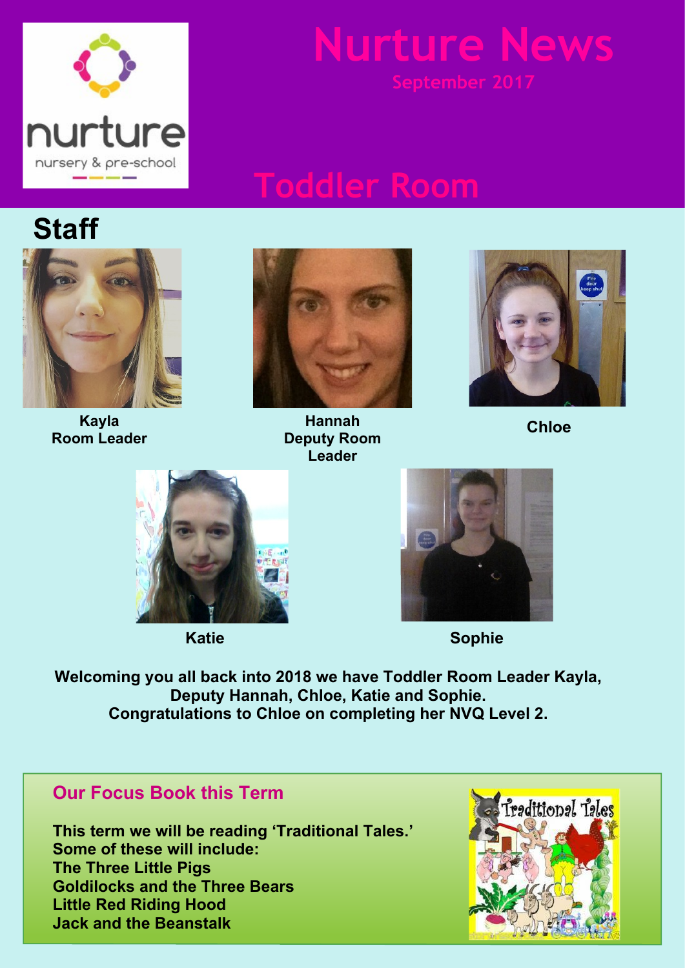

## **Toddler Room**

## **Staff**



**Kayla Room Leader**



**Hannah Deputy Room Leader**



**Chloe**





**Katie Sophie**

**Welcoming you all back into 2018 we have Toddler Room Leader Kayla, Deputy Hannah, Chloe, Katie and Sophie. Congratulations to Chloe on completing her NVQ Level 2.**

### **Our Focus Book this Term**

**This term we will be reading 'Traditional Tales.' Some of these will include: The Three Little Pigs Goldilocks and the Three Bears Little Red Riding Hood Jack and the Beanstalk**

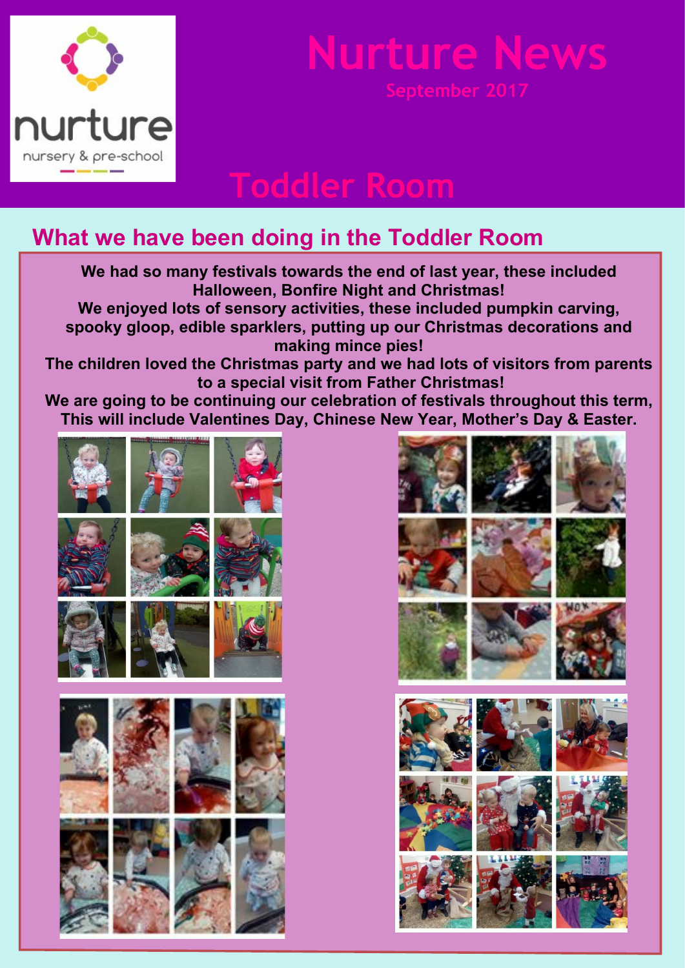

**Toddler Room**

### **What we have been doing in the Toddler Room**

**We had so many festivals towards the end of last year, these included Halloween, Bonfire Night and Christmas! We enjoyed lots of sensory activities, these included pumpkin carving, spooky gloop, edible sparklers, putting up our Christmas decorations and making mince pies! The children loved the Christmas party and we had lots of visitors from parents to a special visit from Father Christmas! We are going to be continuing our celebration of festivals throughout this term, This will include Valentines Day, Chinese New Year, Mother's Day & Easter.**